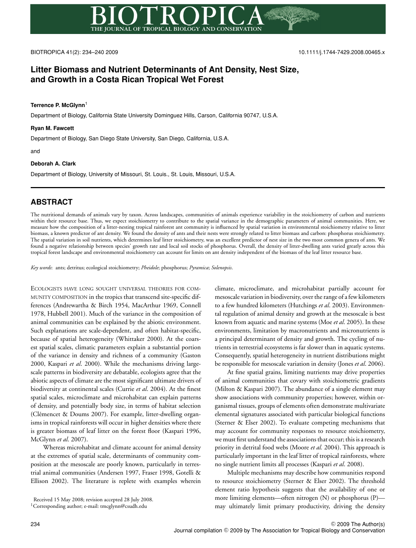# **Litter Biomass and Nutrient Determinants of Ant Density, Nest Size, and Growth in a Costa Rican Tropical Wet Forest**

#### **Terrence P. McGlynn**<sup>1</sup>

Department of Biology, California State University Dominguez Hills, Carson, California 90747, U.S.A.

#### **Ryan M. Fawcett**

Department of Biology, San Diego State University, San Diego, California, U.S.A.

and

#### **Deborah A. Clark**

Department of Biology, University of Missouri, St. Louis., St. Louis, Missouri, U.S.A.

# **ABSTRACT**

The nutritional demands of animals vary by taxon. Across landscapes, communities of animals experience variability in the stoichiometry of carbon and nutrients within their resource base. Thus, we expect stoichiometry to contribute to the spatial variance in the demographic parameters of animal communities. Here, we measure how the composition of a litter-nesting tropical rainforest ant community is influenced by spatial variation in environmental stoichiometry relative to litter biomass, a known predictor of ant density. We found the density of ants and their nests were strongly related to litter biomass and carbon: phosphorus stoichiometry. The spatial variation in soil nutrients, which determines leaf litter stoichiometry, was an excellent predictor of nest size in the two most common genera of ants. We found a negative relationship between species' growth rate and local soil stocks of phosphorus. Overall, the density of litter-dwelling ants varied greatly across this tropical forest landscape and environmental stoichiometry can account for limits on ant density independent of the biomass of the leaf litter resource base.

*Key words*: ants; detritus; ecological stoichiometry; *Pheidole*; phosphorus; *Pyramica*; *Solenopsis*.

ECOLOGISTS HAVE LONG SOUGHT UNIVERSAL THEORIES FOR COM-MUNITY COMPOSITION in the tropics that transcend site-specific differences (Andrewartha & Birch 1954, MacArthur 1969, Connell 1978, Hubbell 2001). Much of the variance in the composition of animal communities can be explained by the abiotic environment. Such explanations are scale-dependent, and often habitat-specific, because of spatial heterogeneity (Whittaker 2000). At the coarsest spatial scales, climatic parameters explain a substantial portion of the variance in density and richness of a community (Gaston 2000, Kaspari *et al*. 2000). While the mechanisms driving largescale patterns in biodiversity are debatable, ecologists agree that the abiotic aspects of climate are the most significant ultimate drivers of biodiversity at continental scales (Currie *et al*. 2004). At the finest spatial scales, microclimate and microhabitat can explain patterns of density, and potentially body size, in terms of habitat selection (Clémencet & Doums 2007). For example, litter-dwelling organisms in tropical rainforests will occur in higher densities where there is greater biomass of leaf litter on the forest floor (Kaspari 1996, McGlynn *et al*. 2007).

Whereas microhabitat and climate account for animal density at the extremes of spatial scale, determinants of community composition at the mesoscale are poorly known, particularly in terrestrial animal communities (Andersen 1997, Fraser 1998, Gotelli & Ellison 2002). The literature is replete with examples wherein

Received 15 May 2008; revision accepted 28 July 2008.

1Corresponding author; e-mail: tmcglynn@csudh.edu

climate, microclimate, and microhabitat partially account for mesoscale variation in biodiversity, over the range of a few kilometers to a few hundred kilometers (Hutchings *et al*. 2003). Environmental regulation of animal density and growth at the mesoscale is best known from aquatic and marine systems (Moe *et al*. 2005). In these environments, limitation by macronutrients and micronutrients is a principal determinant of density and growth. The cycling of nutrients in terrestrial ecosystems is far slower than in aquatic systems. Consequently, spatial heterogeneity in nutrient distributions might be responsible for mesoscale variation in density (Jones *et al*. 2006).

At fine spatial grains, limiting nutrients may drive properties of animal communities that covary with stoichiometric gradients (Milton & Kaspari 2007). The abundance of a single element may show associations with community properties; however, within organismal tissues, groups of elements often demonstrate multivariate elemental signatures associated with particular biological functions (Sterner & Elser 2002). To evaluate competing mechanisms that may account for community responses to resource stoichiometry, we must first understand the associations that occur; this is a research priority in detrital food webs (Moore *et al.* 2004). This approach is particularly important in the leaf litter of tropical rainforests, where no single nutrient limits all processes (Kaspari *et al*. 2008).

Multiple mechanisms may describe how communities respond to resource stoichiometry (Sterner & Elser 2002). The threshold element ratio hypothesis suggests that the availability of one or more limiting elements—often nitrogen (N) or phosphorus (P) may ultimately limit primary productivity, driving the density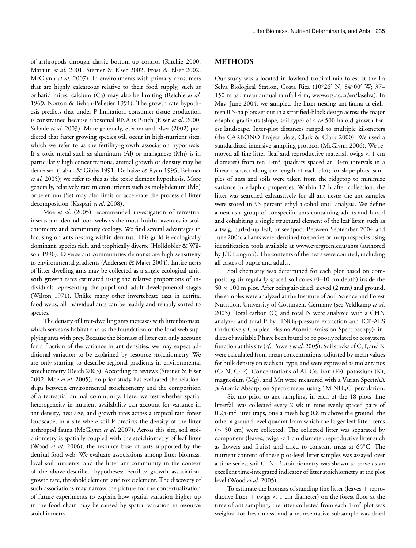of arthropods through classic bottom-up control (Ritchie 2000, Maraun *et al.* 2001, Sterner & Elser 2002, Frost & Elser 2002, McGlynn *et al*. 2007). In environments with primary consumers that are highly calcareous relative to their food supply, such as oribatid mites, calcium (Ca) may also be limiting (Reichle *et al.* 1969, Norton & Behan-Pelletier 1991). The growth rate hypothesis predicts that under P limitation, consumer tissue production is constrained because ribosomal RNA is P-rich (Elser *et al*. 2000, Schade *et al*. 2003). More generally, Sterner and Elser (2002) predicted that faster growing species will occur in high-nutrient sites, which we refer to as the fertility–growth association hypothesis. If a toxic metal such as aluminum (Al) or manganese (Mn) is in particularly high concentrations, animal growth or density may be decreased (Tabak & Gibbs 1991, Delhaize & Ryan 1995, Behmer *et al.* 2005); we refer to this as the toxic element hypothesis. More generally, relatively rare micronutrients such as molybdenum (Mo) or selenium (Se) may also limit or accelerate the process of litter decomposition (Kaspari *et al.* 2008).

Moe *et al*. (2005) recommended investigation of terrestrial insects and detrital food webs as the most fruitful avenues in stoichiometry and community ecology. We find several advantages in focusing on ants nesting within detritus. This guild is ecologically dominant, species rich, and trophically diverse (Hölldobler & Wilson 1990). Diverse ant communities demonstrate high sensitivity to environmental gradients (Andersen & Majer 2004). Entire nests of litter-dwelling ants may be collected as a single ecological unit, with growth rates estimated using the relative proportions of individuals representing the pupal and adult developmental stages (Wilson 1971). Unlike many other invertebrate taxa in detrital food webs, all individual ants can be readily and reliably sorted to species.

The density of litter-dwelling ants increases with litter biomass, which serves as habitat and as the foundation of the food web supplying ants with prey. Because the biomass of litter can only account for a fraction of the variance in ant densities, we may expect additional variation to be explained by resource stoichiometry. We are only starting to describe regional gradients in environmental stoichiometry (Reich 2005). According to reviews (Sterner & Elser 2002, Moe *et al.* 2005), no prior study has evaluated the relationships between environmental stoichiometry and the composition of a terrestrial animal community. Here, we test whether spatial heterogeneity in nutrient availability can account for variance in ant density, nest size, and growth rates across a tropical rain forest landscape, in a site where soil P predicts the density of the litter arthropod fauna (McGlynn *et al*. 2007). Across this site, soil stoichiometry is spatially coupled with the stoichiometry of leaf litter (Wood *et al*. 2006), the resource base of ants supported by the detrital food web. We evaluate associations among litter biomass, local soil nutrients, and the litter ant community in the context of the above-described hypotheses: Fertility–growth association, growth rate, threshold element, and toxic element. The discovery of such associations may narrow the picture for the contextualization of future experiments to explain how spatial variation higher up in the food chain may be caused by spatial variation in resource stoichiometry.

### **METHODS**

Our study was a located in lowland tropical rain forest at the La Selva Biological Station, Costa Rica (10°26' N, 84°00' W; 37-150 m asl, mean annual rainfall 4 m; www.ots.ac.cr/en/laselva). In May–June 2004, we sampled the litter-nesting ant fauna at eighteen 0.5-ha plots set out in a stratified-block design across the major edaphic gradients (slope, soil type) of a *ca* 500-ha old-growth forest landscape. Inter-plot distances ranged to multiple kilometers (the CARBONO Project plots; Clark & Clark 2000). We used a standardized intensive sampling protocol (McGlynn 2006). We removed all fine litter (leaf and reproductive material, twigs < 1 cm diameter) from ten  $1-m^2$  quadrats spaced at 10-m intervals in a linear transect along the length of each plot; for slope plots, samples of ants and soils were taken from the ridgetop to minimize variance in edaphic properties. Within 12 h after collection, the litter was searched exhaustively for all ant nests; the ant samples were stored in 95 percent ethyl alcohol until analysis. We define a nest as a group of conspecific ants containing adults and brood and cohabiting a single structural element of the leaf litter, such as a twig, curled-up leaf, or seedpod. Between September 2004 and June 2006, all ants were identified to species or morphospecies using identification tools available at www.evergreen.edu/ants (authored by J.T. Longino). The contents of the nests were counted, including all castes of pupae and adults.

Soil chemistry was determined for each plot based on compositing six regularly spaced soil cores (0–10 cm depth) inside the  $50 \times 100$  m plot. After being air-dried, sieved (2 mm) and ground, the samples were analyzed at the Institute of Soil Science and Forest Nutrition, University of Göttingen, Germany (see Veldkamp et al. 2003). Total carbon (C) and total N were analyzed with a CHN analyzer and total P by  $HNO<sub>3</sub>$ -pressure extraction and ICP-AES (Inductively Coupled Plasma Atomic Emission Spectroscopy); indices of available P have been found to be poorly related to ecosystem function at this site (*cf*., Powers*et al*. 2005). Soil stocks of C, P, and N were calculated from mean concentrations, adjusted by mean values for bulk density on each soil type, and were expressed as molar ratios (C: N, C: P). Concentrations of Al, Ca, iron (Fe), potassium (K), magnesium (Mg), and Mn were measured with a Varian SpectrAA  $\circledast$  Atomic Absorption Spectrometer using 1M NH<sub>4</sub>Cl percolation.

Six mo prior to ant sampling, in each of the 18 plots, fine litterfall was collected every 2 wk in nine evenly spaced pairs of 0.25- $m^2$  litter traps, one a mesh bag 0.8 m above the ground, the other a ground-level quadrat from which the larger leaf litter items (> 50 cm) were collected. The collected litter was separated by component (leaves, twigs < 1 cm diameter, reproductive litter such as flowers and fruits) and dried to constant mass at 65◦C. The nutrient content of these plot-level litter samples was assayed over a time series; soil C: N: P stoichiometry was shown to serve as an excellent time-integrated indicator of litter stoichiometry at the plot level (Wood *et al*. 2005).

To estimate the biomass of standing fine litter (leaves  $+$  reproductive litter  $+$  twigs  $< 1$  cm diameter) on the forest floor at the time of ant sampling, the litter collected from each  $1-m^2$  plot was weighed for fresh mass, and a representative subsample was dried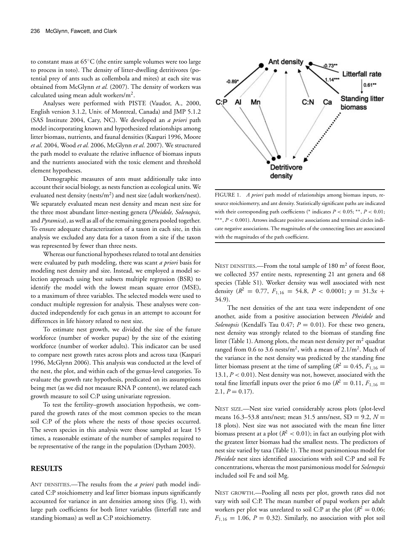to constant mass at 65◦C (the entire sample volumes were too large to process in toto). The density of litter-dwelling detritivores (potential prey of ants such as collembola and mites) at each site was obtained from McGlynn *et al.* (2007). The density of workers was calculated using mean adult workers/m2.

Analyses were performed with PISTE (Vaudor, A., 2000, English version 3.1.2, Univ. of Montreal, Canada) and JMP 5.1.2 (SAS Institute 2004, Cary, NC). We developed an *a priori* path model incorporating known and hypothesized relationships among litter biomass, nutrients, and faunal densities (Kaspari 1996, Moore *et al*. 2004, Wood *et al.* 2006, McGlynn *et al*. 2007). We structured the path model to evaluate the relative influence of biomass inputs and the nutrients associated with the toxic element and threshold element hypotheses.

Demographic measures of ants must additionally take into account their social biology, as nests function as ecological units. We evaluated nest density (nests/ $m<sup>2</sup>$ ) and nest size (adult workers/nest). We separately evaluated mean nest density and mean nest size for the three most abundant litter-nesting genera (*Pheidole, Solenopsis,* and *Pyramica*), as well as all of the remaining genera pooled together. To ensure adequate characterization of a taxon in each site, in this analysis we excluded any data for a taxon from a site if the taxon was represented by fewer than three nests.

Whereas our functional hypotheses related to total ant densities were evaluated by path modeling, there was scant *a priori* basis for modeling nest density and size. Instead, we employed a model selection approach using best subsets multiple regression (BSR) to identify the model with the lowest mean square error (MSE), to a maximum of three variables. The selected models were used to conduct multiple regression for analysis. These analyses were conducted independently for each genus in an attempt to account for differences in life history related to nest size.

To estimate nest growth, we divided the size of the future workforce (number of worker pupae) by the size of the existing workforce (number of worker adults). This indicator can be used to compare nest growth rates across plots and across taxa (Kaspari 1996, McGlynn 2006). This analysis was conducted at the level of the nest, the plot, and within each of the genus-level categories. To evaluate the growth rate hypothesis, predicated on its assumptions being met (as we did not measure RNA P content), we related each growth measure to soil C:P using univariate regression.

To test the fertility–growth association hypothesis, we compared the growth rates of the most common species to the mean soil C:P of the plots where the nests of those species occurred. The seven species in this analysis were those sampled at least 15 times, a reasonable estimate of the number of samples required to be representative of the range in the population (Dytham 2003).

#### **RESULTS**

ANT DENSITIES.—The results from the *a priori* path model indicated C:P stoichiometry and leaf litter biomass inputs significantly accounted for variance in ant densities among sites (Fig. 1), with large path coefficients for both litter variables (litterfall rate and standing biomass) as well as C:P stoichiometry.



FIGURE 1. *A priori* path model of relationships among biomass inputs, resource stoichiometry, and ant density. Statistically significant paths are indicated with their corresponding path coefficients (\* indicates  $P < 0.05$ ; \*\*,  $P < 0.01$ ; ∗∗∗, *P* < 0.001). Arrows indicate positive associations and terminal circles indicate negative associations. The magnitudes of the connecting lines are associated with the magnitudes of the path coefficient.

NEST DENSITIES.—From the total sample of  $180 \text{ m}^2$  of forest floor, we collected 357 entire nests, representing 21 ant genera and 68 species (Table S1). Worker density was well associated with nest density ( $R^2 = 0.77$ ,  $F_{1,16} = 54.8$ ,  $P < 0.0001$ ;  $y = 31.3x +$ 34.9).

The nest densities of the ant taxa were independent of one another, aside from a positive association between *Pheidole* and *Solenopsis* (Kendall's Tau 0.47;  $P = 0.01$ ). For these two genera, nest density was strongly related to the biomass of standing fine litter (Table 1). Among plots, the mean nest density per  $m<sup>2</sup>$  quadrat ranged from 0.6 to 3.6 nests/m<sup>2</sup>, with a mean of  $2.1/m^2$ . Much of the variance in the nest density was predicted by the standing fine litter biomass present at the time of sampling ( $R^2 = 0.45$ ,  $F_{1,16} =$ 13.1, *P* < 0.01). Nest density was not, however, associated with the total fine litterfall inputs over the prior 6 mo ( $R^2 = 0.11$ ,  $F_{1,16} =$ 2.1,  $P = 0.17$ ).

NEST SIZE.—Nest size varied considerably across plots (plot-level means 16.3–53.8 ants/nest; mean 31.5 ants/nest,  $SD = 9.2$ ,  $N =$ 18 plots). Nest size was not associated with the mean fine litter biomass present at a plot ( $R^2$  < 0.01); in fact an outlying plot with the greatest litter biomass had the smallest nests. The predictors of nest size varied by taxa (Table 1). The most parsimonious model for *Pheidole* nest sizes identified associations with soil C:P and soil Fe concentrations, whereas the most parsimonious model for *Solenopsis* included soil Fe and soil Mg.

NEST GROWTH.—Pooling all nests per plot, growth rates did not vary with soil C:P. The mean number of pupal workers per adult workers per plot was unrelated to soil C:P at the plot ( $R^2 = 0.06$ ;  $F_{1,16} = 1.06, P = 0.32$ . Similarly, no association with plot soil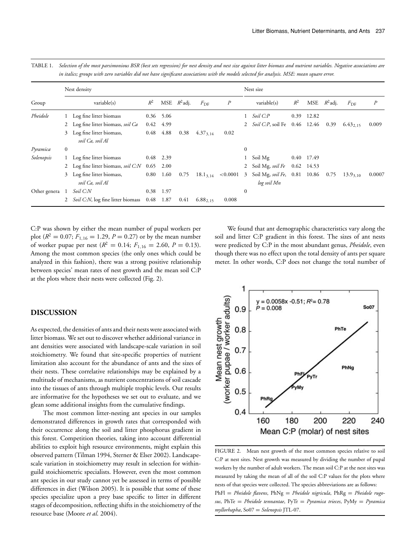| Group        |              | Nest density                                          |       |           |                |               |                  |              | Nest size                                   |       |            |            |               |                  |  |
|--------------|--------------|-------------------------------------------------------|-------|-----------|----------------|---------------|------------------|--------------|---------------------------------------------|-------|------------|------------|---------------|------------------|--|
|              |              | variable(s)                                           | $R^2$ |           | MSE $R^2$ adj. | $F_{\rm DF}$  | $\boldsymbol{P}$ |              | variable(s)                                 | $R^2$ | MSE        | $R^2$ adj. | $F_{\rm DF}$  | $\boldsymbol{P}$ |  |
| Pheidole     |              | 1 Log fine litter biomass                             |       | 0.36 5.06 |                |               |                  |              | Soil C:P                                    | 0.39  | 12.82      |            |               |                  |  |
|              |              | 2 Log fine litter biomass, soil Ca                    |       | 0.42 4.99 |                |               |                  |              | 2 Soil C:P, soil Fe 0.46 12.46              |       |            | 0.39       | $6.43_{2.15}$ | 0.009            |  |
|              |              | 3 Log fine litter biomass,<br>soil Ca. soil Al        |       | 0.48 4.88 | 0.38           | $4.37_{3,14}$ | 0.02             |              |                                             |       |            |            |               |                  |  |
| Pyramica     | $\mathbf{0}$ |                                                       |       |           |                |               |                  | $\mathbf{0}$ |                                             |       |            |            |               |                  |  |
| Solenopsis   |              | 1 Log fine litter biomass                             |       | 0.48 2.39 |                |               |                  |              | Soil Mg                                     |       | 0.40 17.49 |            |               |                  |  |
|              |              | 2 Log fine litter biomass, soil C:N 0.65              |       | 2.00      |                |               |                  |              | 2 Soil Mg, soil Fe                          |       | 0.62 14.53 |            |               |                  |  |
|              |              | 3 Log fine litter biomass,<br>soil Ca, soil Al        | 0.80  | 1.60      | 0.75           | $18.1_{3,14}$ | < 0.0001         | 3            | Soil Mg, soil Fe, 0.81 10.86<br>log soil Mn |       |            | 0.75       | $13.9_{3,10}$ | 0.0007           |  |
| Other genera | -1           | Soil C:N                                              | 0.38  | 1.97      |                |               |                  | $\mathbf{0}$ |                                             |       |            |            |               |                  |  |
|              |              | 2 <i>Soil C:N</i> , log fine litter biomass 0.48 1.87 |       |           | 0.41           | $6.88_{2,15}$ | 0.008            |              |                                             |       |            |            |               |                  |  |

TABLE 1. *Selection of the most parsimonious BSR (best sets regression) for nest density and nest size against litter biomass and nutrient variables. Negative associations are in italics; groups with zero variables did not have significant associations with the models selected for analysis. MSE: mean square error.*

C:P was shown by either the mean number of pupal workers per plot ( $R^2 = 0.07$ ;  $F_{1,16} = 1.29$ ,  $P = 0.27$ ) or by the mean number of worker pupae per nest ( $R^2 = 0.14$ ;  $F_{1,16} = 2.60$ ,  $P = 0.13$ ). Among the most common species (the only ones which could be analyzed in this fashion), there was a strong positive relationship between species' mean rates of nest growth and the mean soil C:P at the plots where their nests were collected (Fig. 2).

### **DISCUSSION**

As expected, the densities of ants and their nests were associated with litter biomass. We set out to discover whether additional variance in ant densities were associated with landscape-scale variation in soil stoichiometry. We found that site-specific properties of nutrient limitation also account for the abundance of ants and the sizes of their nests. These correlative relationships may be explained by a multitude of mechanisms, as nutrient concentrations of soil cascade into the tissues of ants through multiple trophic levels. Our results are informative for the hypotheses we set out to evaluate, and we glean some additional insights from the cumulative findings.

The most common litter-nesting ant species in our samples demonstrated differences in growth rates that corresponded with their occurrence along the soil and litter phosphorus gradient in this forest. Competition theories, taking into account differential abilities to exploit high resource environments, might explain this observed pattern (Tilman 1994, Sterner & Elser 2002). Landscapescale variation in stoichiometry may result in selection for withinguild stoichiometric specialists. However, even the most common ant species in our study cannot yet be assessed in terms of possible differences in diet (Wilson 2005). It is possible that some of these species specialize upon a prey base specific to litter in different stages of decomposition, reflecting shifts in the stoichiometry of the resource base (Moore *et al*. 2004).

We found that ant demographic characteristics vary along the soil and litter C:P gradient in this forest. The sizes of ant nests were predicted by C:P in the most abundant genus, *Pheidole*, even though there was no effect upon the total density of ants per square meter. In other words, C:P does not change the total number of



FIGURE 2. Mean nest growth of the most common species relative to soil C:P at nest sites. Nest growth was measured by dividing the number of pupal workers by the number of adult workers. The mean soil C:P at the nest sites was measured by taking the mean of all of the soil C:P values for the plots where nests of that species were collected. The species abbreviations are as follows: PhFl = *Pheidole flavens*, PhNg = *Pheidole nigricula*, PhRg = *Pheidole rugosus*, PhTe = *Pheidole tennantae*, PyTr = *Pyramica trieces*, PyMy = *Pyramica myllorhapha*, So07 = *Solenopsis* JTL-07.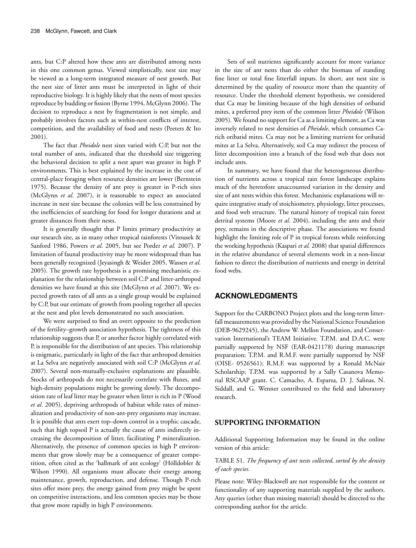ants, but C:P altered how these ants are distributed among nests in this one common genus. Viewed simplistically, nest size may be viewed as a long-term integrated measure of nest growth. But the nest size of litter ants must be interpreted in light of their reproductive biology. It is highly likely that the nests of most species reproduce by budding or fission (Byrne 1994, McGlynn 2006). The decision to reproduce a nest by fragmentation is not simple, and probably involves factors such as within-nest conflicts of interest, competition, and the availability of food and nests (Peeters & Ito 2001).

The fact that *Pheidole* nest sizes varied with C:P, but not the total number of ants, indicated that the threshold size triggering the behavioral decision to split a nest apart was greater in high P environments. This is best explained by the increase in the cost of central-place foraging when resource densities are lower (Bernstein 1975). Because the density of ant prey is greater in P-rich sites (McGlynn *et al*. 2007), it is reasonable to expect an associated increase in nest size because the colonies will be less constrained by the inefficiencies of searching for food for longer durations and at greater distances from their nests.

It is generally thought that P limits primary productivity at our research site, as in many other tropical rainforests (Vitousek & Sanford 1986, Powers *et al*. 2005, but see Porder *et al.* 2007). P limitation of faunal productivity may be more widespread than has been generally recognized (Jeyasingh & Weider 2005, Wassen *et al*. 2005). The growth rate hypothesis is a promising mechanistic explanation for the relationship between soil C:P and litter-arthropod densities we have found at this site (McGlynn *et al.* 2007). We expected growth rates of all ants as a single group would be explained by C:P, but our estimate of growth from pooling together all species at the nest and plot levels demonstrated no such association.

We were surprised to find an overt opposite to the prediction of the fertility–growth association hypothesis. The tightness of this relationship suggests that P, or another factor highly correlated with P, is responsible for the distribution of ant species. This relationship is enigmatic, particularly in light of the fact that arthropod densities at La Selva are negatively associated with soil C:P (McGlynn *et al*. 2007). Several non-mutually-exclusive explanations are plausible. Stocks of arthropods do not necessarily correlate with fluxes, and high-density populations might be growing slowly. The decomposition rate of leaf litter may be greater when litter is rich in P (Wood *et al*. 2005), depriving arthropods of habitat while rates of mineralization and productivity of non-ant-prey organisms may increase. It is possible that ants exert top–down control in a trophic cascade, such that high topsoil P is actually the cause of ants indirectly increasing the decomposition of litter, facilitating P mineralization. Alternatively, the presence of common species in high P environments that grow slowly may be a consequence of greater competition, often cited as the 'hallmark of ant ecology' (Hölldobler & Wilson 1990). All organisms must allocate their energy among maintenance, growth, reproduction, and defense. Though P-rich sites offer more prey, the energy gained from prey might be spent on competitive interactions, and less common species may be those that grow more rapidly in high P environments.

Sets of soil nutrients significantly account for more variance in the size of ant nests than do either the biomass of standing fine litter or total fine litterfall inputs. In short, ant nest size is determined by the quality of resource more than the quantity of resource. Under the threshold element hypothesis, we considered that Ca may be limiting because of the high densities of oribatid mites, a preferred prey item of the common litter *Pheidole* (Wilson 2005). We found no support for Ca as a limiting element, as Ca was inversely related to nest densities of *Pheidole*, which consumes Carich oribatid mites. Ca may not be a limiting nutrient for oribatid mites at La Selva. Alternatively, soil Ca may redirect the process of litter decomposition into a branch of the food web that does not include ants.

In summary, we have found that the heterogeneous distribution of nutrients across a tropical rain forest landscape explains much of the heretofore unaccounted variation in the density and size of ant nests within this forest. Mechanistic explanations will require integrative study of stoichiometry, physiology, litter processes, and food web structure. The natural history of tropical rain forest detrital systems (Moore *et al*. 2004), including the ants and their prey, remains in the descriptive phase. The associations we found highlight the limiting role of P in tropical forests while reinforcing the working hypothesis (Kaspari *et al.* 2008) that spatial differences in the relative abundance of several elements work in a non-linear fashion to direct the distribution of nutrients and energy in detrital food webs.

# **ACKNOWLEDGMENTS**

Support for the CARBONO Project plots and the long-term litterfall measurements was provided by the National Science Foundation (DEB-9629245), the Andrew W. Mellon Foundation, and Conservation International's TEAM Initiative. T.P.M. and D.A.C. were partially supported by NSF (EAR-0421178) during manuscript preparation; T.P.M. and R.M.F. were partially supported by NSF (OISE- 0526561); R.M.F. was supported by a Ronald McNair Scholarship; T.P.M. was supported by a Sally Casanova Memorial RSCAAP grant. C. Camacho, A. Esparza, D. J. Salinas, N. Siddall, and G. Wenner contributed to the field and laboratory research.

## **SUPPORTING INFORMATION**

Additional Supporting Information may be found in the online version of this article:

### TABLE S1. *The frequency of ant nests collected, sorted by the density of each species.*

Please note: Wiley-Blackwell are not responsible for the content or functionality of any supporting materials supplied by the authors. Any queries (other than missing material) should be directed to the corresponding author for the article.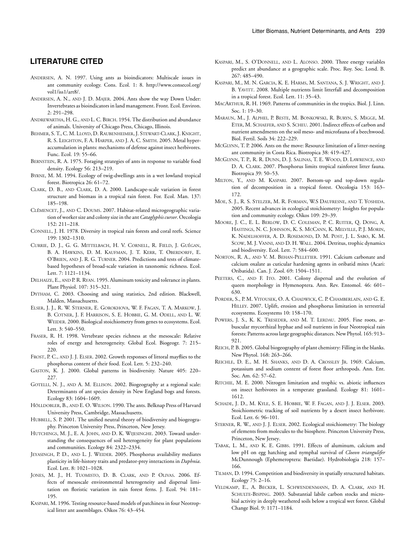# **LITERATURE CITED**

- ANDERSEN, A. N. 1997. Using ants as bioindicators: Multiscale issues in ant community ecology. Cons. Ecol. 1: 8. http://www.consecol.org/ vol1/iss1/art8/.
- ANDERSEN, A. N., AND J. D. MAJER. 2004. Ants show the way Down Under: Invertebrates as bioindicators in land management. Front. Ecol. Environ. 2: 291–298.
- ANDREWARTHA, H. G., AND L. C. BIRCH. 1954. The distribution and abundance of animals. University of Chicago Press, Chicago, Illinois.
- BEHMER, S. T., C. M. LLOYD, D. RAUBENHEIMER, J. STEWART-CLARK, J. KNIGHT, R. S. LEIGHTON, F. A. HARPER, AND J. A. C. SMITH. 2005. Metal hyperaccumulation in plants: mechanisms of defense against insect herbivores. Func. Ecol. 19: 55–66.
- BERNSTEIN, R. A. 1975. Foraging strategies of ants in response to variable food density. Ecology 56: 213–219.
- BYRNE, M. M. 1994. Ecology of twig-dwellings ants in a wet lowland tropical forest. Biotropica 26: 61–72.
- CLARK, D. B., AND CLARK, D. A. 2000. Landscape-scale variation in forest structure and biomass in a tropical rain forest. For. Ecol. Man. 137: 185–198.
- CLÉMENCET, J., AND C. DOUMS. 2007. Habitat-related microgeographic variation of worker size and colony size in the ant*Cataglyphis cursor*. Oecologia 152: 211–218.
- CONNELL, J. H. 1978. Diversity in tropical rain forests and coral reefs. Science 199: 1302–1310.
- CURRIE, D. J., G. G. MITTELBACH, H. V. CORNELL, R. FIELD, J. GUÉGAN, B. A. HAWKINS, D. M. KAUFMAN, J. T. KERR, T. OBERDORFF, E. O'BRIEN, AND J. R. G. TURNER. 2004. Predictions and tests of climatebased hypotheses of broad-scale variation in taxonomic richness. Ecol. Lett. 7: 1121–1134.
- DELHAIZE, E., AND P. R. RYAN. 1995. Aluminum toxicity and tolerance in plants. Plant Physiol. 107: 315–321.
- DYTHAM, C. 2003. Choosing and using statistics, 2nd edition. Blackwell, Malden, Massachusetts.
- ELSER, J. J., R. W. STERNER, E. GOROKHOVA, W. F. FAGAN, T. A. MARKOW, J. B. COTNER, J. F. HARRISON, S. E. HOBBIE, G. M. ODELL, AND L. W. WEIDER. 2000. Biological stoichiometry from genes to ecosystems. Ecol. Lett. 3: 540–550.
- FRASER, R. H. 1998. Vertebrate species richness at the mesoscale: Relative roles of energy and heterogeneity. Global Ecol. Biogeogr. 7: 215– 220.
- FROST, P. C., AND J. J. ELSER. 2002. Growth responses of littoral mayflies to the phosphorus content of their food. Ecol. Lett. 5: 232–240.
- GASTON, K. J. 2000. Global patterns in biodiversity. Nature 405: 220– 227.
- GOTELLI, N. J., AND A. M. ELLISON. 2002. Biogeography at a regional scale: Determinants of ant species density in New England bogs and forests. Ecology 83: 1604–1609.
- HÖLLDOBLER, B., AND E. O. WILSON. 1990. The ants. Belknap Press of Harvard University Press, Cambridge, Massachusetts.
- HUBBELL, S. P. 2001. The unified neutral theory of biodiversity and biogeography. Princeton University Press, Princeton, New Jersey.
- HUTCHINGS, M. J., E. A. JOHN, AND D. K. WIJESINGHE. 2003. Toward understanding the consequences of soil heterogeneity for plant populations and communities. Ecology 84: 2322–2334.
- JEYASINGH, P. D., AND L. J. WEIDER. 2005. Phosphorus availability mediates plasticity in life-history traits and predator-prey interactions in *Daphnia*. Ecol. Lett. 8: 1021–1028.
- JONES, M. J., H. TUOMISTO, D. B. CLARK, AND P. OLIVAS. 2006. Effects of mesoscale environmental heterogeneity and dispersal limitation on floristic variation in rain forest ferns. J. Ecol. 94: 181– 195.
- KASPARI, M. 1996. Testing resource-based models of patchiness in four Neotropical litter ant assemblages. Oikos 76: 43–454.
- KASPARI, M., S. O'DONNELL, AND L. ALONSO. 2000. Three energy variables predict ant abundance at a geographic scale. Proc. Roy. Soc. Lond. B. 267: 485–490.
- KASPARI, M., M. N. GARCIA, K. E. HARMS, M. SANTANA, S. J. WRIGHT, AND J. B. YAVITT. 2008. Multiple nutrients limit litterfall and decomposition in a tropical forest. Ecol. Lett. 11: 35–43.
- MACARTHUR, R. H. 1969. Patterns of communities in the tropics. Biol. J. Linn. Soc. 1: 19–30.
- MARAUN, M., J. ALPHEI, P. BESTE, M. BONKOWSKI, R. BURYN, S. MIGGE, M. ETER, M. SCHAEFER, AND S. SCHEU. 2001. Indirect effects of carbon and nutrient amendments on the soil meso- and microfauna of a beechwood. Biol. Fertil. Soils 34: 222–229.
- MCGLYNN, T. P. 2006. Ants on the move: Resource limitation of a litter-nesting ant community in Costa Rica. Biotropica 38: 419–427.
- MCGLYNN, T. P., R. R. DUNN, D. J. SALINAS, T. E. WOOD, D. LAWRENCE, AND D. A. CLARK. 2007. Phosphorus limits tropical rainforest litter fauna. Biotropica 39: 50–53.
- MILTON, Y., AND M. KASPARI. 2007. Bottom-up and top-down regulation of decomposition in a tropical forest. Oecologia 153: 163– 172.
- MOE, S. J., R. S. STELZER, M. R. FORMAN, W.S DAUFRESNE, AND T. YOSHIDA. 2005. Recent advances in ecological stoichiometry: Insights for population and community ecology. Oikos 109: 29–39.
- MOORE, J. C., E. L. BERLOW, D. C. COLEMAN, P. C. RUITER, Q. DONG, A. HASTINGS, N. C. JOHNSON, K. S. MCCANN, K. MELVILLE, P. J. MORIN, K. NADELHOFFER, A. D. ROSEMOND, D. M. POST, J. L. SABO, K. M. SCOW, M. J. VANNI, AND D. H. WALL. 2004. Detritus, trophic dynamics and biodiversity. Ecol. Lett. 7: 584–600.
- NORTON, R. A., AND V. M. BEHAN-PELLETIER. 1991. Calcium carbonate and calcium oxalate as cuticular hardening agents in oribatid mites (Acari: Oribatida). Can. J. Zool. 69: 1504–1511.
- PEETERS, C., AND F. ITO. 2001. Colony dispersal and the evolution of queen morphology in Hymenoptera. Ann. Rev. Entomol. 46: 601– 630.
- PORDER, S., P. M. VITOUSEK, O. A. CHADWICK, C. P. CHAMBERLAIN, AND G. E. HILLEY. 2007. Uplift, erosion and phosphorus limitation in terrestrial ecosystems. Ecosystems 10: 158–170.
- POWERS, J. S., K. K. TRESEDER, AND M. T. LERDAU. 2005. Fine roots, arbuscular mycorrhizal hyphae and soil nutrients in four Neotropical rain forests: Patterns across large geographic distances. New Phytol. 165: 913– 921.
- REICH, P. B. 2005. Global biogeography of plant chemistry: Filling in the blanks. New Phytol. 168: 263–266.
- REICHLE, D. E., M. H. SHANKS, AND D. A. CROSSLEY JR. 1969. Calcium, potassium and sodium content of forest floor arthropods. Ann. Ent. Soc. Am. 62: 57–62.
- RITCHIE, M. E. 2000. Nitrogen limitation and trophic vs. abiotic influences on insect herbivores in a temperate grassland. Ecology 81: 1601– 1612.
- SCHADE, J. D., M. KYLE, S. E. HOBBIE, W. F. FAGAN, AND J. J. ELSER. 2003. Stoichiometric tracking of soil nutrients by a desert insect herbivore. Ecol. Lett. 6: 96–101.
- STERNER, R. W., AND J. J. ELSER. 2002. Ecological stoichiometry: The biology of elements from molecules to the biosphere. Princeton University Press, Princeton, New Jersey.
- TABAK, L. M., AND K. E. GIBBS. 1991. Effects of aluminum, calcium and low pH on egg hatching and nymphal survival of *Cloeon triangulifer* McDunnough (Ephemeroptera: Baetidae). Hydrobiologia 218: 157– 166.
- TILMAN, D. 1994. Competition and biodiversity in spatially structured habitats. Ecology 75: 2–16.
- VELDKAMP, E., A. BECKER, L. SCHWENDENMANN, D. A. CLARK, AND H. SCHULTE-BISPING. 2003. Substantial labile carbon stocks and microbial activity in deeply weathered soils below a tropical wet forest. Global Change Biol. 9: 1171–1184.